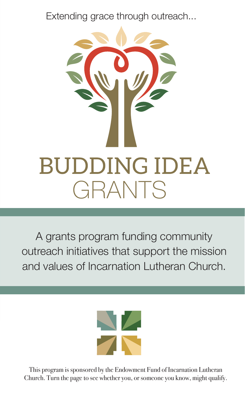Extending grace through outreach...



A grants program funding community outreach initiatives that support the mission and values of Incarnation Lutheran Church.



This program is sponsored by the Endowment Fund of Incarnation Lutheran Church. Turn the page to see whether you, or someone you know, might qualify.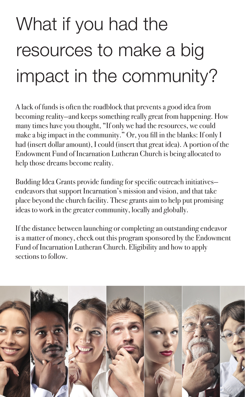## What if you had the resources to make a big impact in the community?

A lack of funds is often the roadblock that prevents a good idea from becoming reality—and keeps something really great from happening. How many times have you thought, "If only we had the resources, we could make a big impact in the community." Or, you fill in the blanks: If only I had (insert dollar amount), I could (insert that great idea). A portion of the Endowment Fund of Incarnation Lutheran Church is being allocated to help those dreams become reality.

Budding Idea Grants provide funding for specific outreach initiatives endeavors that support Incarnation's mission and vision, and that take place beyond the church facility. These grants aim to help put promising ideas to work in the greater community, locally and globally.

If the distance between launching or completing an outstanding endeavor is a matter of money, check out this program sponsored by the Endowment Fund of Incarnation Lutheran Church. Eligibility and how to apply sections to follow.

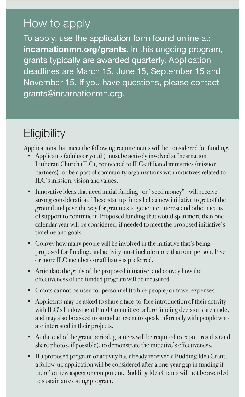## How to apply

To apply, use the application form found online at: **incarnationmn.org/grants.** In this ongoing program, grants typically are awarded quarterly. Application deadlines are March 15, June 15, September 15 and November 15. If you have questions, please contact grants@incarnationmn.org.

## **Eligibility**

Applications that meet the following requirements will be considered for funding.

- Applicants (adults or youth) must be actively involved at Incarnation Lutheran Church (ILC), connected to ILC-affiliated ministries (mission partners), or be a part of community organizations with initiatives related to ILC's mission, vision and values.
- Innovative ideas that need initial funding—or "seed money"—will receive strong consideration. These startup funds help a new initiative to get off the ground and pave the way for grantees to generate interest and other means of support to continue it. Proposed funding that would span more than one calendar year will be considered, if needed to meet the proposed initiative's timeline and goals.
- Convey how many people will be involved in the initiative that's being proposed for funding, and activity must include more than one person. Five or more ILC members or affiliates is preferred.
- Articulate the goals of the proposed initiative, and convey how the effectiveness of the funded program will be measured.
- Grants cannot be used for personnel (to hire people) or travel expenses.
- Applicants may be asked to share a face-to-face introduction of their activity with ILC's Endowment Fund Committee before funding decisions are made, and may also be asked to attend an event to speak informally with people who are interested in their projects.
- At the end of the grant period, grantees will be required to report results (and share photos, if possible), to demonstrate the initiative's effectiveness.
- If a proposed program or activity has already received a Budding Idea Grant, a follow-up application will be considered after a one-year gap in funding if there's a new aspect or component. Budding Idea Grants will not be awarded to sustain an existing program.